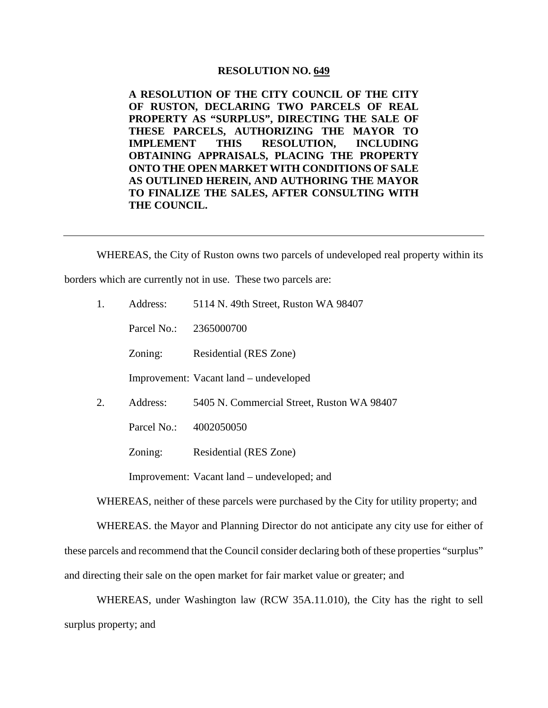## **RESOLUTION NO. 649**

**A RESOLUTION OF THE CITY COUNCIL OF THE CITY OF RUSTON, DECLARING TWO PARCELS OF REAL PROPERTY AS "SURPLUS", DIRECTING THE SALE OF THESE PARCELS, AUTHORIZING THE MAYOR TO IMPLEMENT THIS RESOLUTION, INCLUDING OBTAINING APPRAISALS, PLACING THE PROPERTY ONTO THE OPEN MARKET WITH CONDITIONS OF SALE AS OUTLINED HEREIN, AND AUTHORING THE MAYOR TO FINALIZE THE SALES, AFTER CONSULTING WITH THE COUNCIL.**

WHEREAS, the City of Ruston owns two parcels of undeveloped real property within its borders which are currently not in use. These two parcels are:

| 1. | Address:    | 5114 N. 49th Street, Ruston WA 98407        |
|----|-------------|---------------------------------------------|
|    | Parcel No.: | 2365000700                                  |
|    | Zoning:     | Residential (RES Zone)                      |
|    |             | Improvement: Vacant land – undeveloped      |
| 2. | Address:    | 5405 N. Commercial Street, Ruston WA 98407  |
|    | Parcel No.: | 4002050050                                  |
|    | Zoning:     | Residential (RES Zone)                      |
|    |             | Improvement: Vacant land – undeveloped; and |

WHEREAS, neither of these parcels were purchased by the City for utility property; and

WHEREAS. the Mayor and Planning Director do not anticipate any city use for either of

these parcels and recommend that the Council consider declaring both of these properties "surplus"

and directing their sale on the open market for fair market value or greater; and

WHEREAS, under Washington law (RCW 35A.11.010), the City has the right to sell surplus property; and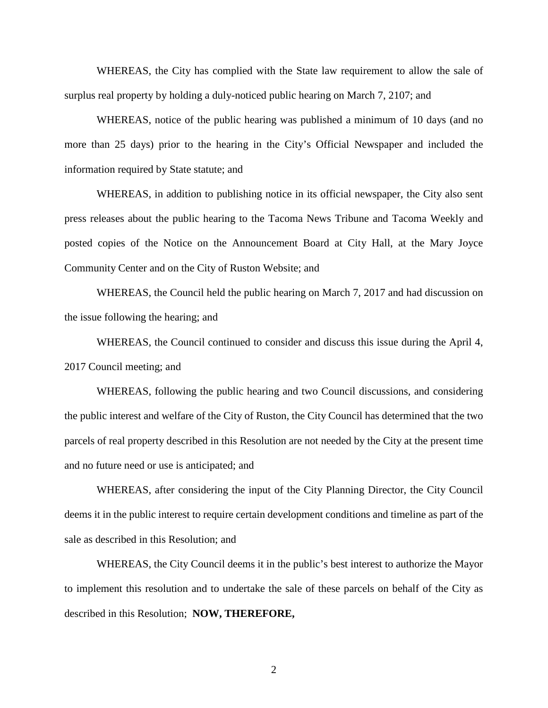WHEREAS, the City has complied with the State law requirement to allow the sale of surplus real property by holding a duly-noticed public hearing on March 7, 2107; and

WHEREAS, notice of the public hearing was published a minimum of 10 days (and no more than 25 days) prior to the hearing in the City's Official Newspaper and included the information required by State statute; and

WHEREAS, in addition to publishing notice in its official newspaper, the City also sent press releases about the public hearing to the Tacoma News Tribune and Tacoma Weekly and posted copies of the Notice on the Announcement Board at City Hall, at the Mary Joyce Community Center and on the City of Ruston Website; and

WHEREAS, the Council held the public hearing on March 7, 2017 and had discussion on the issue following the hearing; and

WHEREAS, the Council continued to consider and discuss this issue during the April 4, 2017 Council meeting; and

WHEREAS, following the public hearing and two Council discussions, and considering the public interest and welfare of the City of Ruston, the City Council has determined that the two parcels of real property described in this Resolution are not needed by the City at the present time and no future need or use is anticipated; and

WHEREAS, after considering the input of the City Planning Director, the City Council deems it in the public interest to require certain development conditions and timeline as part of the sale as described in this Resolution; and

WHEREAS, the City Council deems it in the public's best interest to authorize the Mayor to implement this resolution and to undertake the sale of these parcels on behalf of the City as described in this Resolution; **NOW, THEREFORE,**

2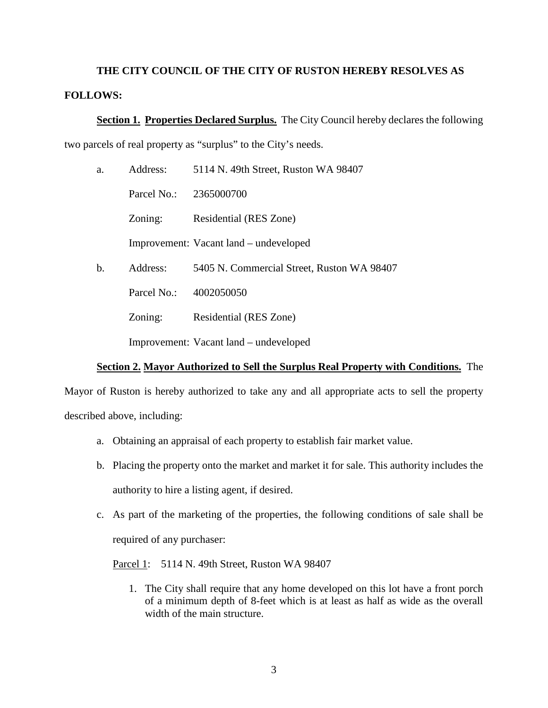## **THE CITY COUNCIL OF THE CITY OF RUSTON HEREBY RESOLVES AS FOLLOWS:**

**Section 1. Properties Declared Surplus.** The City Council hereby declares the following two parcels of real property as "surplus" to the City's needs.

| a. | Address:    | 5114 N. 49th Street, Ruston WA 98407       |
|----|-------------|--------------------------------------------|
|    | Parcel No.: | 2365000700                                 |
|    | Zoning:     | Residential (RES Zone)                     |
|    |             | Improvement: Vacant land – undeveloped     |
| b. | Address:    | 5405 N. Commercial Street, Ruston WA 98407 |
|    | Parcel No.: | 4002050050                                 |
|    | Zoning:     | Residential (RES Zone)                     |
|    |             | Improvement: Vacant land – undeveloped     |

## **Section 2. Mayor Authorized to Sell the Surplus Real Property with Conditions.** The

Mayor of Ruston is hereby authorized to take any and all appropriate acts to sell the property described above, including:

- a. Obtaining an appraisal of each property to establish fair market value.
- b. Placing the property onto the market and market it for sale. This authority includes the authority to hire a listing agent, if desired.
- c. As part of the marketing of the properties, the following conditions of sale shall be required of any purchaser:

Parcel 1: 5114 N. 49th Street, Ruston WA 98407

1. The City shall require that any home developed on this lot have a front porch of a minimum depth of 8-feet which is at least as half as wide as the overall width of the main structure.